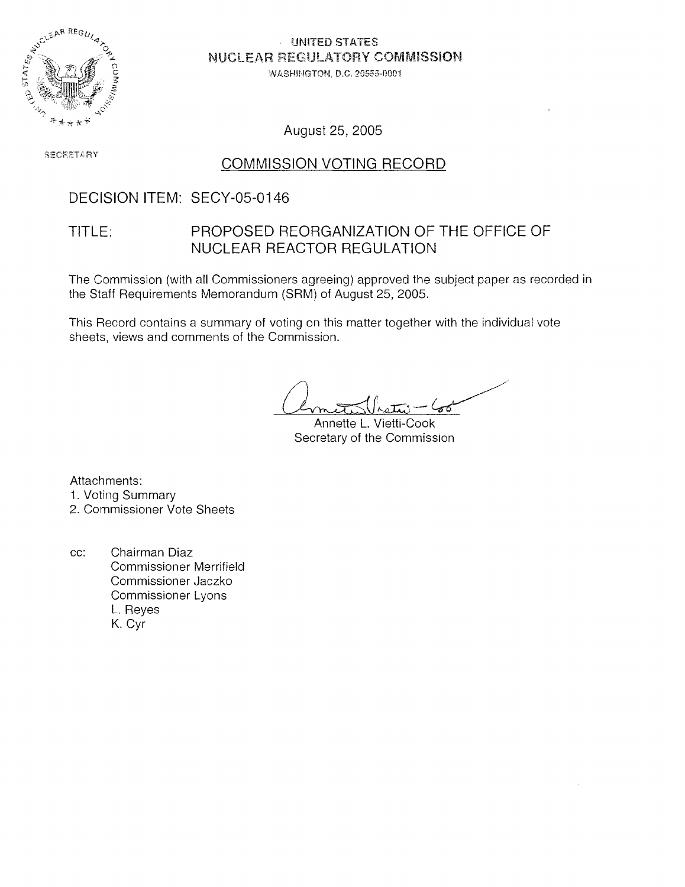

UNITED STATES NUCLEAR REGULATORY COMMISSION

WASHINGTON, D.C. 20555-0001

August 25,2005

**SECRETARY** 

#### COMMISSION VOTING RECORD

### DECISION ITEM: SECY-05-0146

#### TITLE: PROPOSED REORGANIZATION OF THE OFFICE OF NUCLEAR REACTOR REGULATION

The Commission (with all Commissioners agreeing) approved the subject paper as recorded in the Staff Requirements Memorandum (SRM) of August 25, 2005.

This Record contains a summary of voting on this matter together with the individual vote sheets, views and comments of the Commission.

Annette L. Vietti-Cook Secretary of the Commission

Attachments: 1. Voting Summary

2. Commissioner Vote Sheets

cc: Chairman Diaz Commissioner Merrifield Commissioner Jaczko Commissioner Lyons L. Reyes K. Cyr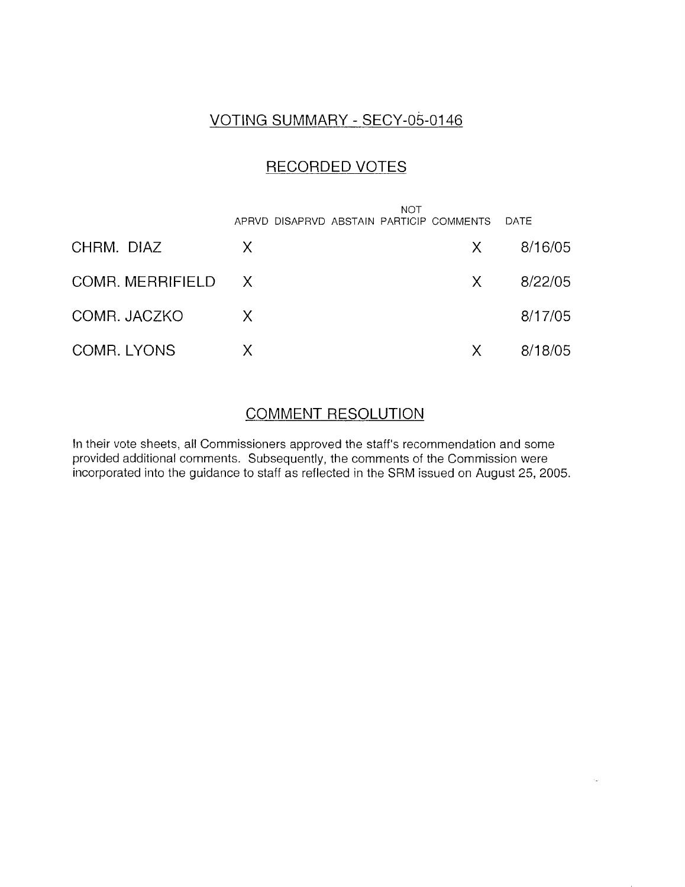## VOTING SUMMARY - SECY-05-0146

#### RECORDED VOTES

|                    | <b>NOT</b><br>APRVD DISAPRVD ABSTAIN PARTICIP COMMENTS |              | DATE    |
|--------------------|--------------------------------------------------------|--------------|---------|
| CHRM. DIAZ         | X                                                      | X.           | 8/16/05 |
| COMR. MERRIFIELD X |                                                        | X            | 8/22/05 |
| COMR. JACZKO       | X                                                      |              | 8/17/05 |
| COMR. LYONS        | X                                                      | $\mathsf{X}$ | 8/18/05 |

### COMMENT RESOLUTION

In their vote sheets, all Commissioners approved the staff's recommendation and some provided additional comments. Subsequently, the comments of the Commission were incorporated into the guidance to staff as reflected in the SRM issued on August 25, 2005.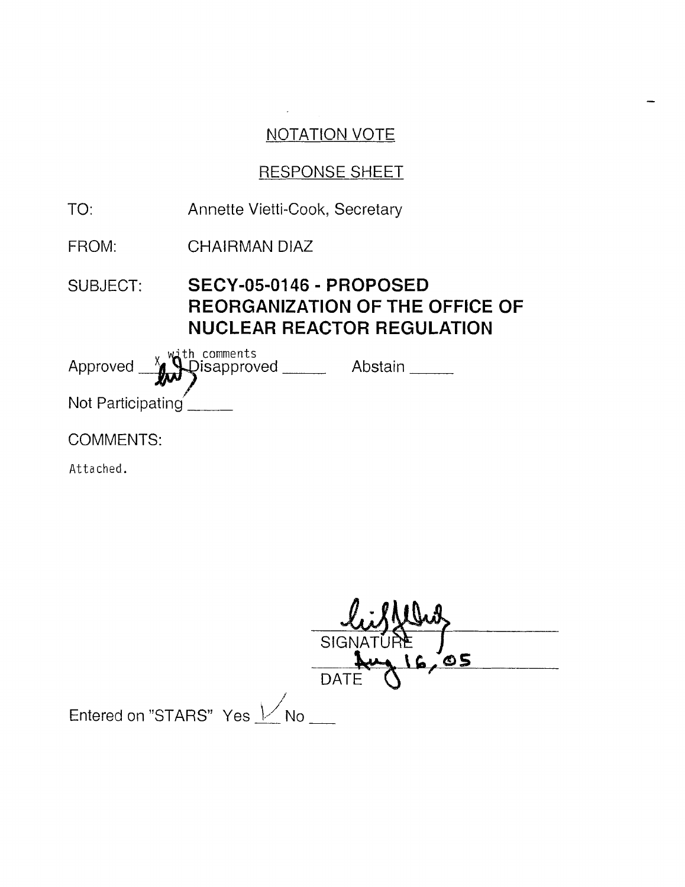$\mathbb{R}^2$ 

 $\overline{\phantom{0}}$ 

## RESPONSE SHEET

| TO:               | Annette Vietti-Cook, Secretary                               |                                        |
|-------------------|--------------------------------------------------------------|----------------------------------------|
| FROM:             | CHAIRMAN DIAZ                                                |                                        |
| <b>SUBJECT:</b>   | SECY-05-0146 - PROPOSED<br><b>NUCLEAR REACTOR REGULATION</b> | <b>REORGANIZATION OF THE OFFICE OF</b> |
|                   | Approved XXV Disapproved Abstain                             |                                        |
| Not Participating |                                                              |                                        |
| COMMENTS:         |                                                              |                                        |
|                   |                                                              |                                        |

Attached.

|                           | <b>SIGNA</b> |
|---------------------------|--------------|
|                           | O5           |
|                           | <b>DATE</b>  |
| Entered on "STARS" Yes Mo |              |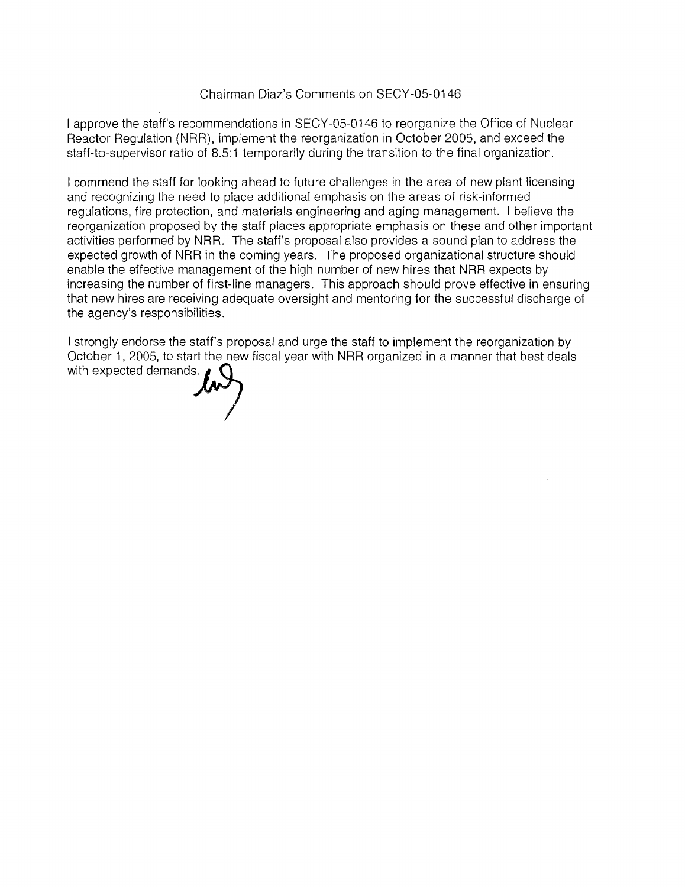#### Chairman Diaz's Comments on SECY-05-0146

I approve the staff's recommendations in SECY-05-0146 to reorganize the Office of Nuclear Reactor Regulation (NRR), implement the reorganization in October 2005, and exceed the staff-to-supervisor ratio of 8.5:1 temporarily during the transition to the final organization.

I commend the staff for looking ahead to future challenges in the area of new plant licensing and recognizing the need to place additional emphasis on the areas of risk-informed regulations, fire protection, and materials engineering and aging management. I believe the reorganization proposed by the staff places appropriate emphasis on these and other important activities performed by NRR. The staff's proposal also provides a sound plan to address the expected growth of NRR in the coming years. The proposed organizational structure should enable the effective management of the high number of new hires that NRR expects by increasing the number of first-line managers. This approach should prove effective in ensuring that new hires are receiving adequate oversight and mentoring for the successful discharge of the agency's responsibilities.

I strongly endorse the staff's proposal and urge the staff to implement the reorganization by October 1, 2005, to start the new fiscal year with NRR organized in a manner that best deals with expected demands.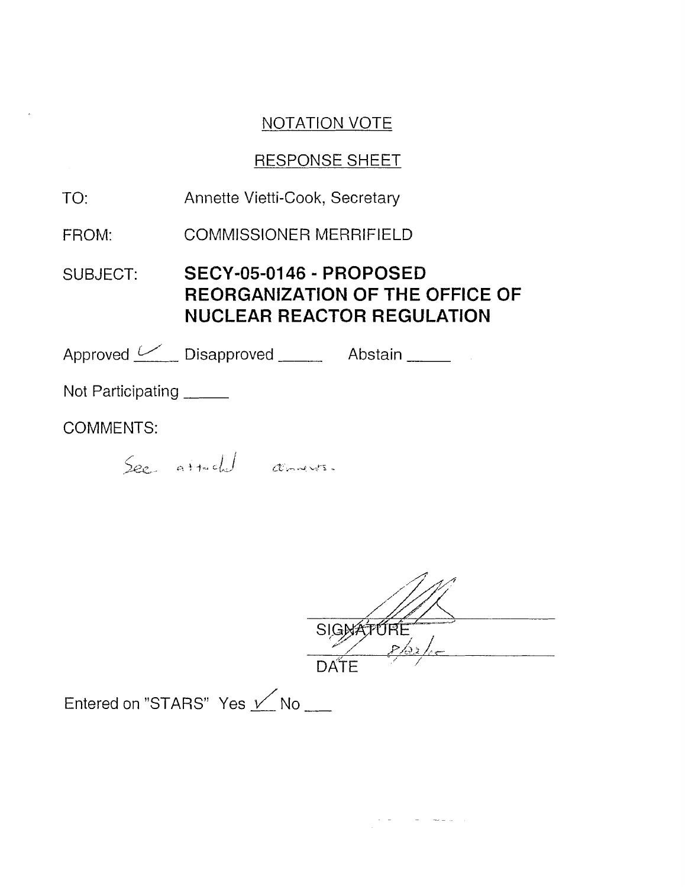## RESPONSE SHEET

| TO:                      | Annette Vietti-Cook, Secretary                                                                         |
|--------------------------|--------------------------------------------------------------------------------------------------------|
| FROM:                    | <b>COMMISSIONER MERRIFIELD</b>                                                                         |
| SUBJECT:                 | SECY-05-0146 - PROPOSED<br><b>REORGANIZATION OF THE OFFICE OF</b><br><b>NUCLEAR REACTOR REGULATION</b> |
|                          | Approved Disapproved Abstain                                                                           |
| Not Participating ______ |                                                                                                        |
| <b>COMMENTS:</b>         |                                                                                                        |
|                          | See attached communis.                                                                                 |

| - -<br>$\frac{1}{2}$ $\frac{1}{2}$<br>بعن محمر |
|------------------------------------------------|
| ς<br>DATE                                      |
|                                                |

 $\label{eq:2.1} \frac{1}{\sqrt{2\pi}}\frac{1}{\sqrt{2\pi}}\frac{1}{\sqrt{2\pi}}\left(\frac{1}{\sqrt{2\pi}}\right)^2\frac{1}{\sqrt{2\pi}}\frac{1}{\sqrt{2\pi}}\frac{1}{\sqrt{2\pi}}\frac{1}{\sqrt{2\pi}}\frac{1}{\sqrt{2\pi}}\frac{1}{\sqrt{2\pi}}\frac{1}{\sqrt{2\pi}}\frac{1}{\sqrt{2\pi}}\frac{1}{\sqrt{2\pi}}\frac{1}{\sqrt{2\pi}}\frac{1}{\sqrt{2\pi}}\frac{1}{\sqrt{2\pi}}\frac{1}{\sqrt{2\pi}}\$ 

Entered on "STARS" Yes  $\nu$  No  $\mu$ 

 $\mathcal{L}(\mathbf{A})$  and  $\mathcal{L}(\mathbf{A})$  .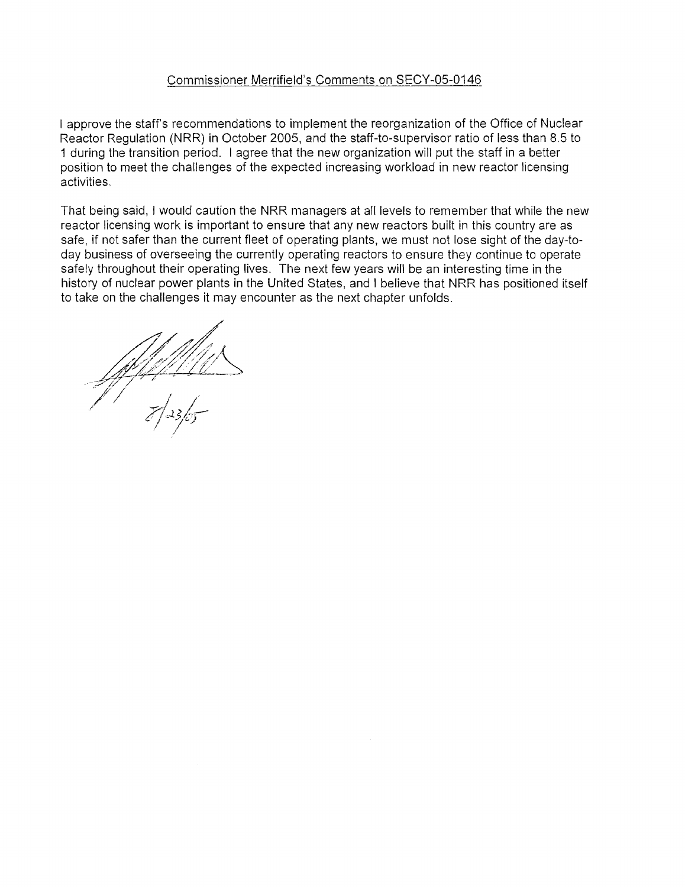#### Commissioner Merrifield's Comments on SECY-05-0146

I approve the staff's recommendations to implement the reorganization of the Office of Nuclear Reactor Regulation (NRR) in October 2005, and the staff-to-supervisor ratio of less than 8.5 to 1 during the transition period. I agree that the new organization will put the staff in a better position to meet the challenges of the expected increasing workload in new reactor licensing activities,

That being said, I would caution the NRR managers at all levels to remember that while the new reactor licensing work is important to ensure that any new reactors built in this country are as safe, if not safer than the current fleet of operating plants, we must not lose sight of the day-today business of overseeing the currently operating reactors to ensure they continue to operate safely throughout their operating lives. The next few years will be an interesting time in the history of nuclear power plants in the United States, and I believe that NRR has positioned itself to take on the challenges it may encounter as the next chapter unfolds.

<u>UNN 1111</u><br>7 | 23 | 05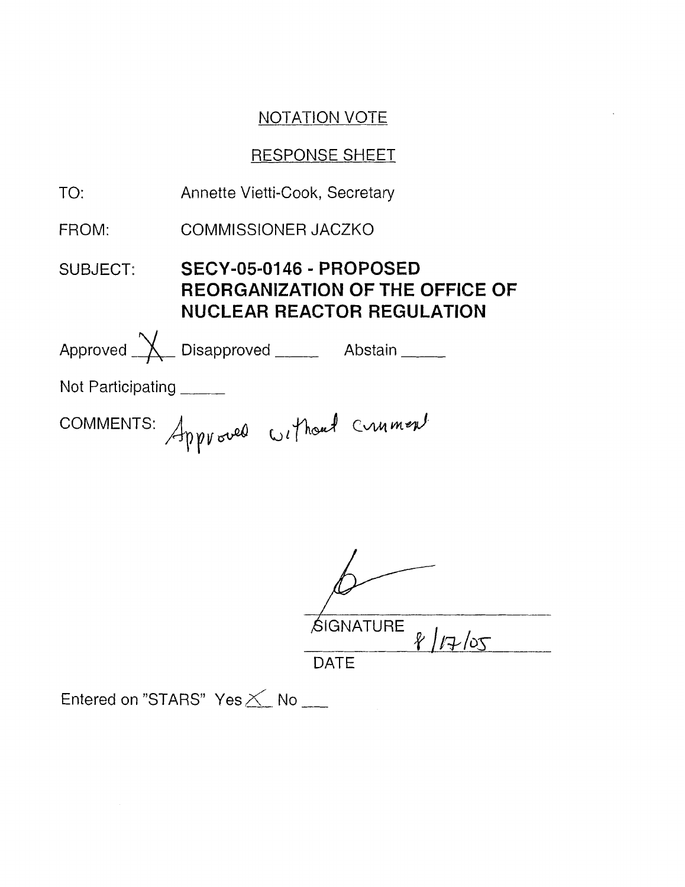## RESPONSE SHEET

| TO:               | Annette Vietti-Cook, Secretary                                                                         |
|-------------------|--------------------------------------------------------------------------------------------------------|
| FROM:             | <b>COMMISSIONER JACZKO</b>                                                                             |
| SUBJECT:          | SECY-05-0146 - PROPOSED<br><b>REORGANIZATION OF THE OFFICE OF</b><br><b>NUCLEAR REACTOR REGULATION</b> |
|                   | Approved X Disapproved Abstain                                                                         |
| Not Participating |                                                                                                        |
|                   | COMMENTS: Approved without Crument                                                                     |

| <b>SIGNATURE</b><br>17/05 |
|---------------------------|
| DATE                      |

Entered on "STARS" Yes  $\times$  No  $\rule{1em}{0.15mm}$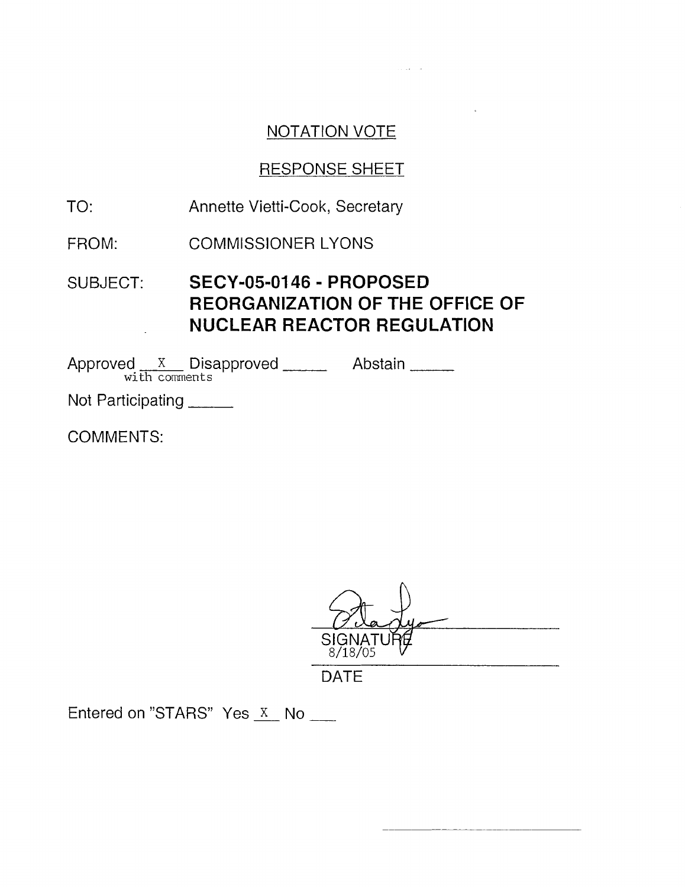**Sandy Common** 

## RESPONSE SHEET

- TO: Annette Vietti-Cook, Secretary
- FROM: COMMISSIONER LYONS
- SUBJECT: **SECY-05-0146 PROPOSED REORGANIZATION OF THE OFFICE OF NUCLEAR REACTOR REGULATION**

Approved <u>x</u> Disapproved Abstain <u>with comments</u>

Not Participating \_\_\_\_\_

COMMENTS:

DATE

 $rac{8/18/05}{\text{DATE}}$ <br>Entered on "STARS" Yes  $\overline{\text{X}}$  No